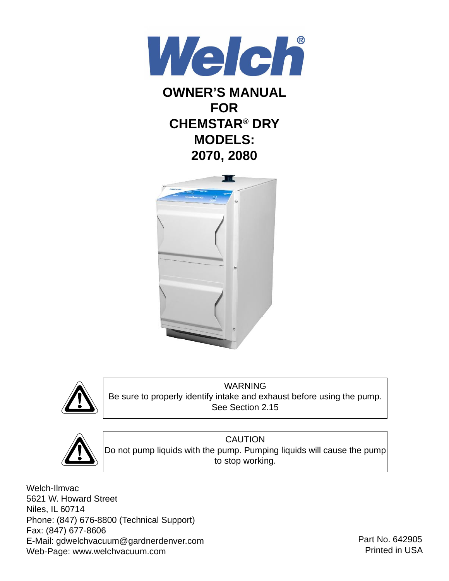

# **OWNER'S MANUAL FOR CHEMSTAR® DRY MODELS: 2070, 2080**





WARNING Be sure to properly identify intake and exhaust before using the pump. See Section 2.15



CAUTION Do not pump liquids with the pump. Pumping liquids will cause the pump to stop working.

Welch-Ilmvac 5621 W. Howard Street Niles, IL 60714 Phone: (847) 676-8800 (Technical Support) Fax: (847) 677-8606 E-Mail: gdwelchvacuum@gardnerdenver.com Web-Page: www.welchvacuum.com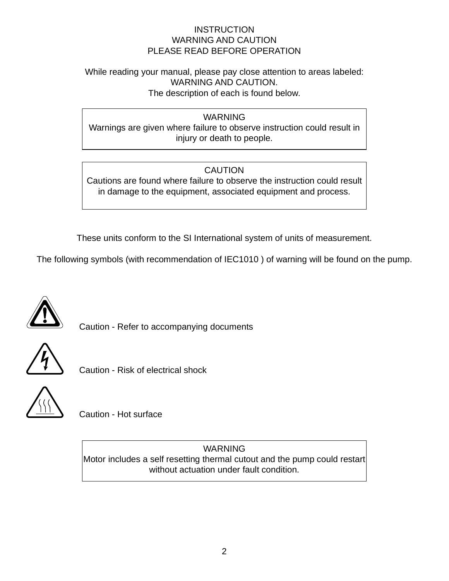#### **INSTRUCTION** WARNING AND CAUTION PLEASE READ BEFORE OPERATION

#### While reading your manual, please pay close attention to areas labeled: WARNING AND CAUTION. The description of each is found below.

WARNING

Warnings are given where failure to observe instruction could result in injury or death to people.

# **CAUTION**

Cautions are found where failure to observe the instruction could result in damage to the equipment, associated equipment and process.

These units conform to the SI International system of units of measurement.

The following symbols (with recommendation of IEC1010 ) of warning will be found on the pump.



Caution - Refer to accompanying documents



Caution - Risk of electrical shock



Caution - Hot surface

WARNING Motor includes a self resetting thermal cutout and the pump could restart without actuation under fault condition.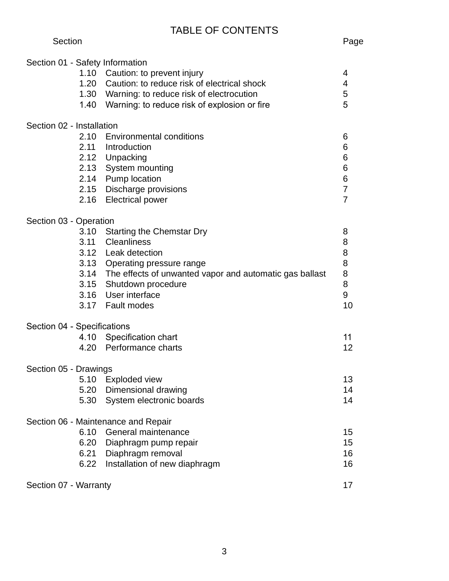# TABLE OF CONTENTS

| Section | Page |
|---------|------|
|---------|------|

| Section 01 - Safety Information     | 1.10 Caution: to prevent injury<br>1.20 Caution: to reduce risk of electrical shock<br>1.30 Warning: to reduce risk of electrocution<br>1.40 Warning: to reduce risk of explosion or fire                                                            | 4<br>4<br>5<br>5                                          |  |  |  |  |
|-------------------------------------|------------------------------------------------------------------------------------------------------------------------------------------------------------------------------------------------------------------------------------------------------|-----------------------------------------------------------|--|--|--|--|
| Section 02 - Installation           |                                                                                                                                                                                                                                                      |                                                           |  |  |  |  |
| 2.16                                | 2.10 Environmental conditions<br>2.11 Introduction<br>2.12 Unpacking<br>2.13 System mounting<br>2.14 Pump location<br>2.15 Discharge provisions<br><b>Electrical power</b>                                                                           | 6<br>6<br>6<br>6<br>6<br>$\overline{7}$<br>$\overline{7}$ |  |  |  |  |
| Section 03 - Operation              |                                                                                                                                                                                                                                                      |                                                           |  |  |  |  |
| 3.10<br>3.11                        | <b>Starting the Chemstar Dry</b><br><b>Cleanliness</b><br>3.12 Leak detection<br>3.13 Operating pressure range<br>3.14 The effects of unwanted vapor and automatic gas ballast<br>3.15 Shutdown procedure<br>3.16 User interface<br>3.17 Fault modes | 8<br>8<br>8<br>8<br>8<br>8<br>$\boldsymbol{9}$<br>10      |  |  |  |  |
| Section 04 - Specifications         |                                                                                                                                                                                                                                                      |                                                           |  |  |  |  |
|                                     | 4.10 Specification chart<br>4.20 Performance charts                                                                                                                                                                                                  | 11<br>12                                                  |  |  |  |  |
|                                     | Section 05 - Drawings                                                                                                                                                                                                                                |                                                           |  |  |  |  |
| 5.20<br>5.30                        | 5.10 Exploded view<br>Dimensional drawing<br>System electronic boards                                                                                                                                                                                | 13<br>14<br>14                                            |  |  |  |  |
| Section 06 - Maintenance and Repair |                                                                                                                                                                                                                                                      |                                                           |  |  |  |  |
| 6.10<br>6.20<br>6.21<br>6.22        | General maintenance<br>Diaphragm pump repair<br>Diaphragm removal<br>Installation of new diaphragm                                                                                                                                                   | 15<br>15<br>16<br>16                                      |  |  |  |  |
| Section 07 - Warranty               |                                                                                                                                                                                                                                                      | 17                                                        |  |  |  |  |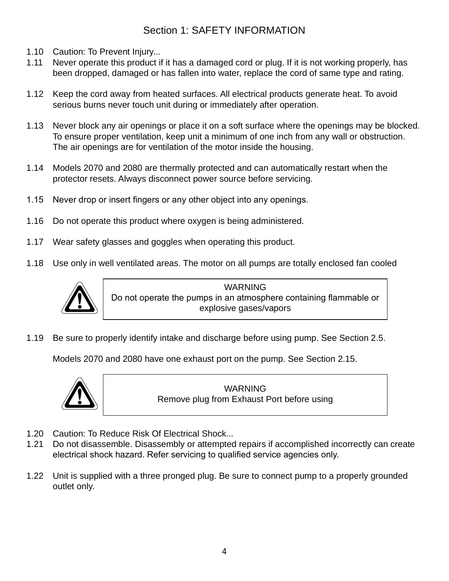## Section 1: SAFETY INFORMATION

- 1.10 Caution: To Prevent Injury...
- 1.11 Never operate this product if it has a damaged cord or plug. If it is not working properly, has been dropped, damaged or has fallen into water, replace the cord of same type and rating.
- 1.12 Keep the cord away from heated surfaces. All electrical products generate heat. To avoid serious burns never touch unit during or immediately after operation.
- 1.13 Never block any air openings or place it on a soft surface where the openings may be blocked. To ensure proper ventilation, keep unit a minimum of one inch from any wall or obstruction. The air openings are for ventilation of the motor inside the housing.
- 1.14 Models 2070 and 2080 are thermally protected and can automatically restart when the protector resets. Always disconnect power source before servicing.
- 1.15 Never drop or insert fingers or any other object into any openings.
- 1.16 Do not operate this product where oxygen is being administered.
- 1.17 Wear safety glasses and goggles when operating this product.
- 1.18 Use only in well ventilated areas. The motor on all pumps are totally enclosed fan cooled



WARNING Do not operate the pumps in an atmosphere containing flammable or explosive gases/vapors

1.19 Be sure to properly identify intake and discharge before using pump. See Section 2.5.

Models 2070 and 2080 have one exhaust port on the pump. See Section 2.15.



WARNING Remove plug from Exhaust Port before using

- 1.20 Caution: To Reduce Risk Of Electrical Shock...
- 1.21 Do not disassemble. Disassembly or attempted repairs if accomplished incorrectly can create electrical shock hazard. Refer servicing to qualified service agencies only.
- 1.22 Unit is supplied with a three pronged plug. Be sure to connect pump to a properly grounded outlet only.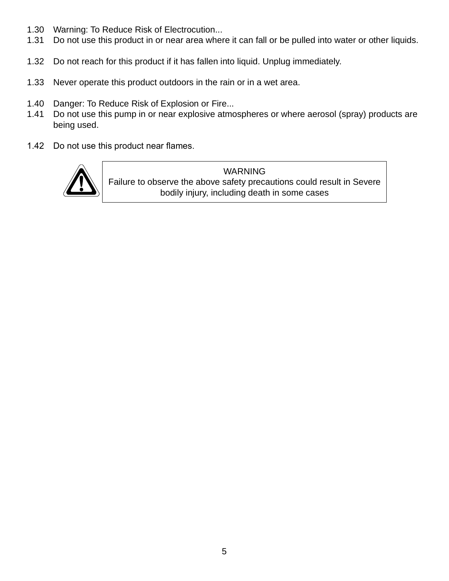- 1.30 Warning: To Reduce Risk of Electrocution...
- 1.31 Do not use this product in or near area where it can fall or be pulled into water or other liquids.
- 1.32 Do not reach for this product if it has fallen into liquid. Unplug immediately.
- 1.33 Never operate this product outdoors in the rain or in a wet area.
- 1.40 Danger: To Reduce Risk of Explosion or Fire...
- 1.41 Do not use this pump in or near explosive atmospheres or where aerosol (spray) products are being used.
- 1.42 Do not use this product near flames.



WARNING Failure to observe the above safety precautions could result in Severe bodily injury, including death in some cases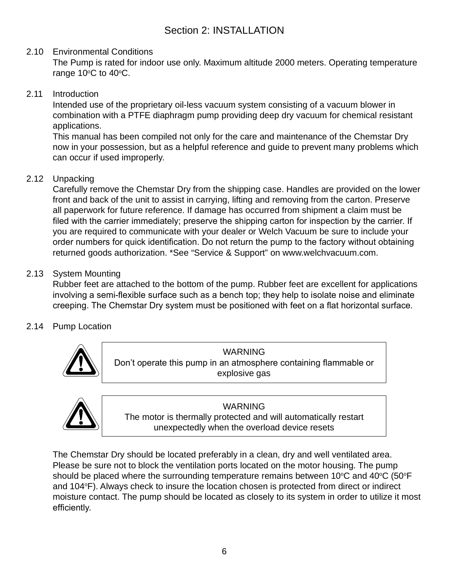### 2.10 Environmental Conditions

 The Pump is rated for indoor use only. Maximum altitude 2000 meters. Operating temperature range  $10^{\circ}$ C to  $40^{\circ}$ C.

2.11 Introduction

 Intended use of the proprietary oil-less vacuum system consisting of a vacuum blower in combination with a PTFE diaphragm pump providing deep dry vacuum for chemical resistant applications.

 This manual has been compiled not only for the care and maintenance of the Chemstar Dry now in your possession, but as a helpful reference and guide to prevent many problems which can occur if used improperly.

#### 2.12 Unpacking

 Carefully remove the Chemstar Dry from the shipping case. Handles are provided on the lower front and back of the unit to assist in carrying, lifting and removing from the carton. Preserve all paperwork for future reference. If damage has occurred from shipment a claim must be filed with the carrier immediately; preserve the shipping carton for inspection by the carrier. If you are required to communicate with your dealer or Welch Vacuum be sure to include your order numbers for quick identification. Do not return the pump to the factory without obtaining returned goods authorization. \*See "Service & Support" on www.welchvacuum.com.

#### 2.13 System Mounting

 Rubber feet are attached to the bottom of the pump. Rubber feet are excellent for applications involving a semi-flexible surface such as a bench top; they help to isolate noise and eliminate creeping. The Chemstar Dry system must be positioned with feet on a flat horizontal surface.

## 2.14 Pump Location



WARNING Don't operate this pump in an atmosphere containing flammable or explosive gas



**WARNING** The motor is thermally protected and will automatically restart unexpectedly when the overload device resets

 The Chemstar Dry should be located preferably in a clean, dry and well ventilated area. Please be sure not to block the ventilation ports located on the motor housing. The pump should be placed where the surrounding temperature remains between  $10^{\circ}$ C and  $40^{\circ}$ C (50 $^{\circ}$ F and 104°F). Always check to insure the location chosen is protected from direct or indirect moisture contact. The pump should be located as closely to its system in order to utilize it most efficiently.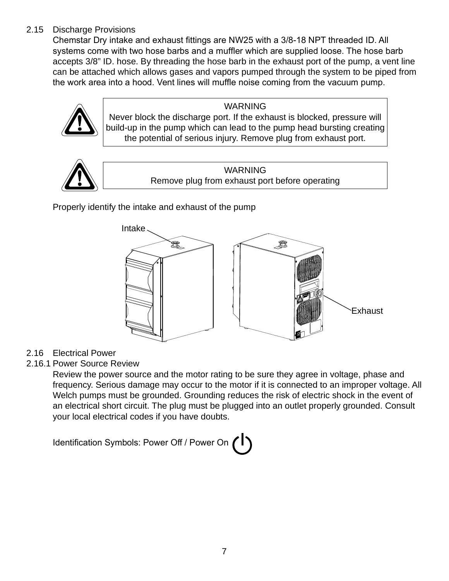## 2.15 Discharge Provisions

Chemstar Dry intake and exhaust fittings are NW25 with a 3/8-18 NPT threaded ID. All systems come with two hose barbs and a muffler which are supplied loose. The hose barb accepts 3/8" ID. hose. By threading the hose barb in the exhaust port of the pump, a vent line can be attached which allows gases and vapors pumped through the system to be piped from the work area into a hood. Vent lines will muffle noise coming from the vacuum pump.



WARNING Never block the discharge port. If the exhaust is blocked, pressure will build-up in the pump which can lead to the pump head bursting creating

the potential of serious injury. Remove plug from exhaust port.



WARNING Remove plug from exhaust port before operating

Properly identify the intake and exhaust of the pump



## 2.16 Electrical Power

2.16.1 Power Source Review

 Review the power source and the motor rating to be sure they agree in voltage, phase and frequency. Serious damage may occur to the motor if it is connected to an improper voltage. All Welch pumps must be grounded. Grounding reduces the risk of electric shock in the event of an electrical short circuit. The plug must be plugged into an outlet properly grounded. Consult your local electrical codes if you have doubts.

Identification Symbols: Power Off / Power On (1)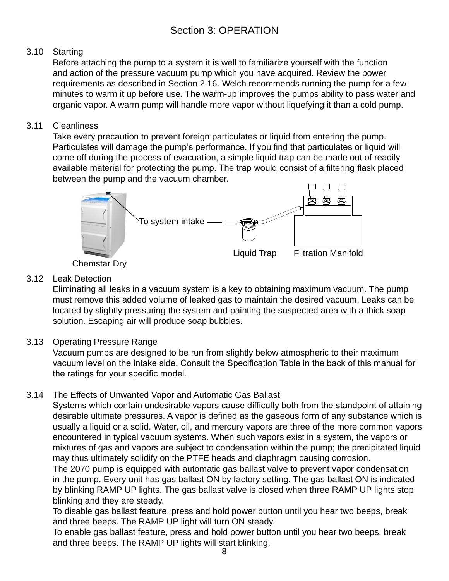## 3.10 Starting

 Before attaching the pump to a system it is well to familiarize yourself with the function and action of the pressure vacuum pump which you have acquired. Review the power requirements as described in Section 2.16. Welch recommends running the pump for a few minutes to warm it up before use. The warm-up improves the pumps ability to pass water and organic vapor. A warm pump will handle more vapor without liquefying it than a cold pump.

### 3.11 Cleanliness

 Take every precaution to prevent foreign particulates or liquid from entering the pump. Particulates will damage the pump's performance. If you find that particulates or liquid will come off during the process of evacuation, a simple liquid trap can be made out of readily available material for protecting the pump. The trap would consist of a filtering flask placed between the pump and the vacuum chamber.



Chemstar Dry

## 3.12 Leak Detection

 Eliminating all leaks in a vacuum system is a key to obtaining maximum vacuum. The pump must remove this added volume of leaked gas to maintain the desired vacuum. Leaks can be located by slightly pressuring the system and painting the suspected area with a thick soap solution. Escaping air will produce soap bubbles.

## 3.13 Operating Pressure Range

 Vacuum pumps are designed to be run from slightly below atmospheric to their maximum vacuum level on the intake side. Consult the Specification Table in the back of this manual for the ratings for your specific model.

## 3.14 The Effects of Unwanted Vapor and Automatic Gas Ballast

Systems which contain undesirable vapors cause difficulty both from the standpoint of attaining desirable ultimate pressures. A vapor is defined as the gaseous form of any substance which is usually a liquid or a solid. Water, oil, and mercury vapors are three of the more common vapors encountered in typical vacuum systems. When such vapors exist in a system, the vapors or mixtures of gas and vapors are subject to condensation within the pump; the precipitated liquid may thus ultimately solidify on the PTFE heads and diaphragm causing corrosion.

 The 2070 pump is equipped with automatic gas ballast valve to prevent vapor condensation in the pump. Every unit has gas ballast ON by factory setting. The gas ballast ON is indicated by blinking RAMP UP lights. The gas ballast valve is closed when three RAMP UP lights stop blinking and they are steady.

 To disable gas ballast feature, press and hold power button until you hear two beeps, break and three beeps. The RAMP UP light will turn ON steady.

 To enable gas ballast feature, press and hold power button until you hear two beeps, break and three beeps. The RAMP UP lights will start blinking.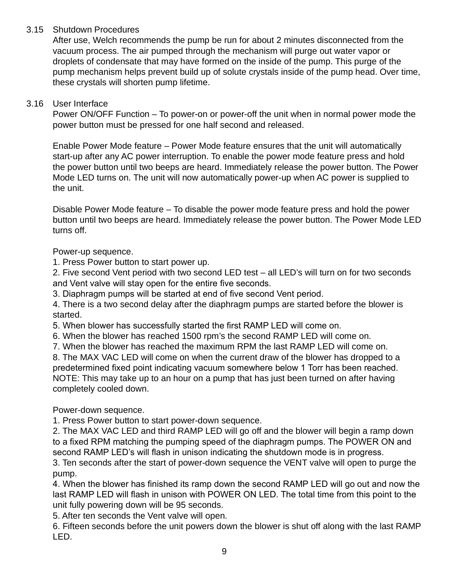#### 3.15 Shutdown Procedures

 After use, Welch recommends the pump be run for about 2 minutes disconnected from the vacuum process. The air pumped through the mechanism will purge out water vapor or droplets of condensate that may have formed on the inside of the pump. This purge of the pump mechanism helps prevent build up of solute crystals inside of the pump head. Over time, these crystals will shorten pump lifetime.

#### 3.16 User Interface

 Power ON/OFF Function – To power-on or power-off the unit when in normal power mode the power button must be pressed for one half second and released.

 Enable Power Mode feature – Power Mode feature ensures that the unit will automatically start-up after any AC power interruption. To enable the power mode feature press and hold the power button until two beeps are heard. Immediately release the power button. The Power Mode LED turns on. The unit will now automatically power-up when AC power is supplied to the unit.

 Disable Power Mode feature – To disable the power mode feature press and hold the power button until two beeps are heard. Immediately release the power button. The Power Mode LED turns off.

Power-up sequence.

1. Press Power button to start power up.

 2. Five second Vent period with two second LED test – all LED's will turn on for two seconds and Vent valve will stay open for the entire five seconds.

3. Diaphragm pumps will be started at end of five second Vent period.

 4. There is a two second delay after the diaphragm pumps are started before the blower is started.

5. When blower has successfully started the first RAMP LED will come on.

6. When the blower has reached 1500 rpm's the second RAMP LED will come on.

7. When the blower has reached the maximum RPM the last RAMP LED will come on.

 8. The MAX VAC LED will come on when the current draw of the blower has dropped to a predetermined fixed point indicating vacuum somewhere below 1 Torr has been reached. NOTE: This may take up to an hour on a pump that has just been turned on after having completely cooled down.

Power-down sequence.

1. Press Power button to start power-down sequence.

 2. The MAX VAC LED and third RAMP LED will go off and the blower will begin a ramp down to a fixed RPM matching the pumping speed of the diaphragm pumps. The POWER ON and second RAMP LED's will flash in unison indicating the shutdown mode is in progress.

 3. Ten seconds after the start of power-down sequence the VENT valve will open to purge the pump.

4. When the blower has finished its ramp down the second RAMP LED will go out and now the last RAMP LED will flash in unison with POWER ON LED. The total time from this point to the unit fully powering down will be 95 seconds.

5. After ten seconds the Vent valve will open.

 6. Fifteen seconds before the unit powers down the blower is shut off along with the last RAMP LED.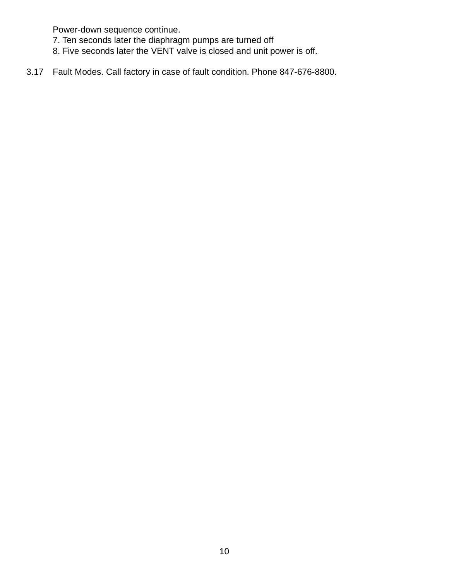Power-down sequence continue.

- 7. Ten seconds later the diaphragm pumps are turned off
- 8. Five seconds later the VENT valve is closed and unit power is off.
- 3.17 Fault Modes. Call factory in case of fault condition. Phone 847-676-8800.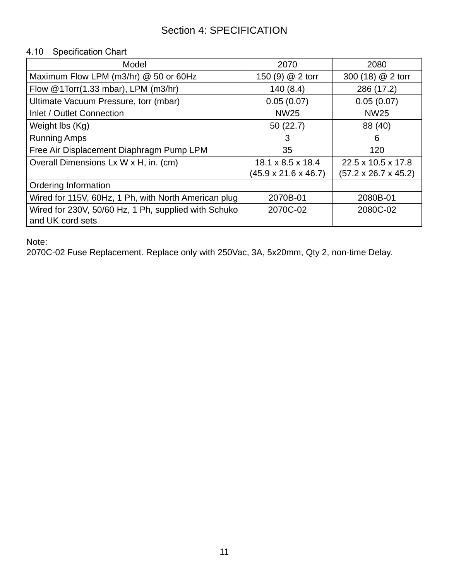# Section 4: SPECIFICATION

#### 4.10 Specification Chart

| Model                                                | 2070                             | 2080                             |
|------------------------------------------------------|----------------------------------|----------------------------------|
| Maximum Flow LPM (m3/hr) @ 50 or 60Hz                | 150 (9) @ 2 torr                 | 300 (18) @ 2 torr                |
| Flow @1Torr(1.33 mbar), LPM (m3/hr)                  | 140(8.4)                         | 286 (17.2)                       |
| Ultimate Vacuum Pressure, torr (mbar)                | 0.05(0.07)                       | 0.05(0.07)                       |
| Inlet / Outlet Connection                            | <b>NW25</b>                      | <b>NW25</b>                      |
| Weight lbs (Kg)                                      | 50(22.7)                         | 88 (40)                          |
| <b>Running Amps</b>                                  | 3                                | 6                                |
| Free Air Displacement Diaphragm Pump LPM             | 35                               | 120                              |
| Overall Dimensions Lx W x H, in. (cm)                | $18.1 \times 8.5 \times 18.4$    | 22.5 x 10.5 x 17.8               |
|                                                      | $(45.9 \times 21.6 \times 46.7)$ | $(57.2 \times 26.7 \times 45.2)$ |
| Ordering Information                                 |                                  |                                  |
| Wired for 115V, 60Hz, 1 Ph, with North American plug | 2070B-01                         | 2080B-01                         |
| Wired for 230V, 50/60 Hz, 1 Ph, supplied with Schuko | 2070C-02                         | 2080C-02                         |
| and UK cord sets                                     |                                  |                                  |

Note:

2070C-02 Fuse Replacement. Replace only with 250Vac, 3A, 5x20mm, Qty 2, non-time Delay.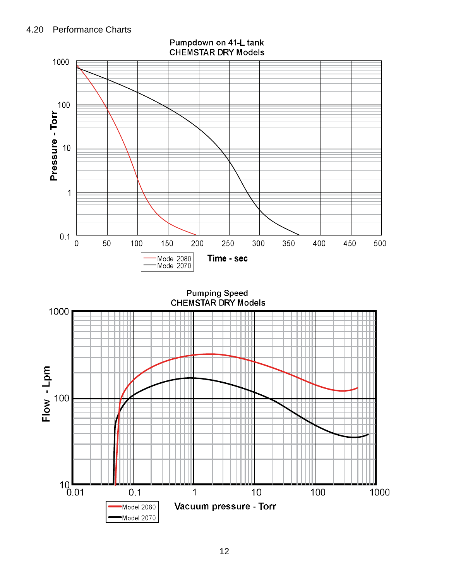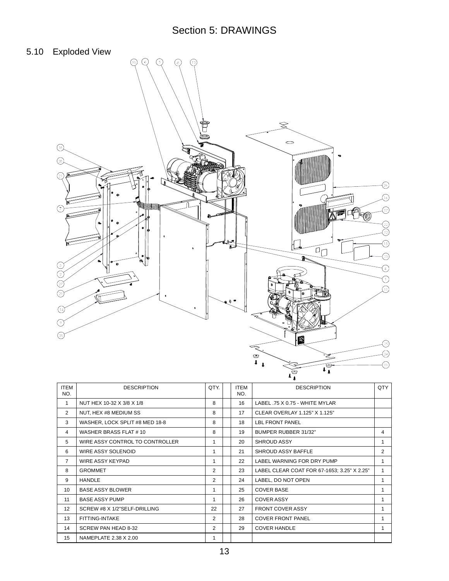# Section 5: DRAWINGS

## 5.10 Exploded View



| <b>ITEM</b><br>NO. | <b>DESCRIPTION</b>              | QTY.           | <b>ITEM</b><br>NO. | <b>DESCRIPTION</b>                          | QTY |
|--------------------|---------------------------------|----------------|--------------------|---------------------------------------------|-----|
| 1                  | NUT HEX 10-32 X 3/8 X 1/8       | 8              | 16                 | LABEL .75 X 0.75 - WHITE MYLAR              |     |
| 2                  | NUT, HEX #8 MEDIUM SS           | 8              | 17                 | CLEAR OVERLAY 1.125" X 1.125"               |     |
| 3                  | WASHER, LOCK SPLIT #8 MED 18-8  | 8              | 18                 | <b>LBL FRONT PANEL</b>                      |     |
| 4                  | WASHER BRASS FLAT #10           | 8              | 19                 | BUMPER RUBBER 31/32"                        |     |
| 5                  | WIRE ASSY CONTROL TO CONTROLLER | 1              | 20                 | <b>SHROUD ASSY</b>                          | 1   |
| 6                  | WIRE ASSY SOLENOID              | 1              | 21                 | SHROUD ASSY BAFFLE                          |     |
| $\overline{7}$     | WIRE ASSY KEYPAD                | 1              | 22                 | LABEL WARNING FOR DRY PUMP                  |     |
| 8                  | <b>GROMMET</b>                  | 2              | 23                 | LABEL CLEAR COAT FOR 67-1653; 3.25" X 2.25" |     |
| 9                  | <b>HANDLE</b>                   | 2              | 24                 | LABEL, DO NOT OPEN                          |     |
| 10                 | <b>BASE ASSY BLOWER</b>         | 1              | 25                 | <b>COVER BASE</b>                           |     |
| 11                 | <b>BASE ASSY PUMP</b>           | 1              | 26                 | <b>COVER ASSY</b>                           | 1   |
| 12 <sup>2</sup>    | SCREW #8 X 1/2"SELF-DRILLING    | 22             | 27                 | <b>FRONT COVER ASSY</b>                     |     |
| 13                 | FITTING-INTAKE                  | 2              | 28                 | <b>COVER FRONT PANEL</b>                    | 1   |
| 14                 | SCREW PAN HEAD 8-32             | $\overline{2}$ | 29                 | <b>COVER HANDLE</b>                         | 1   |
| 15                 | NAMEPLATE 2.38 X 2.00           | 1              |                    |                                             |     |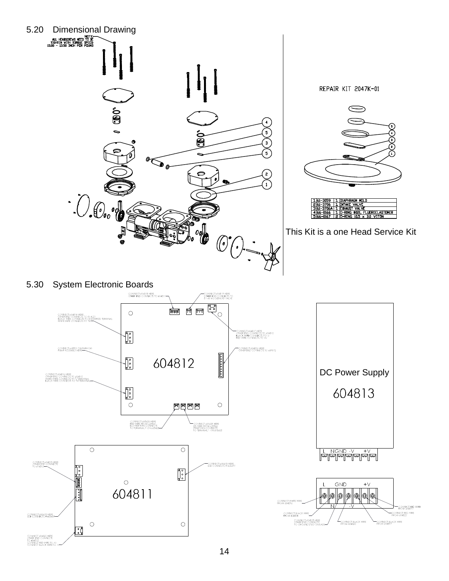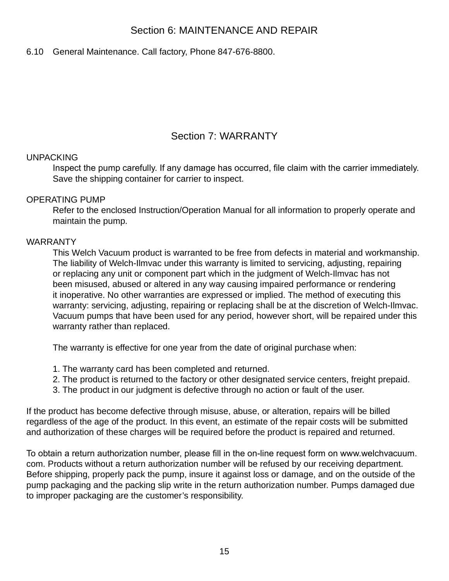## Section 6: MAINTENANCE AND REPAIR

#### 6.10 General Maintenance. Call factory, Phone 847-676-8800.

## Section 7: WARRANTY

#### UNPACKING

Inspect the pump carefully. If any damage has occurred, file claim with the carrier immediately. Save the shipping container for carrier to inspect.

#### OPERATING PUMP

 Refer to the enclosed Instruction/Operation Manual for all information to properly operate and maintain the pump.

#### WARRANTY

 This Welch Vacuum product is warranted to be free from defects in material and workmanship. The liability of Welch-Ilmvac under this warranty is limited to servicing, adjusting, repairing or replacing any unit or component part which in the judgment of Welch-Ilmvac has not been misused, abused or altered in any way causing impaired performance or rendering it inoperative. No other warranties are expressed or implied. The method of executing this warranty: servicing, adjusting, repairing or replacing shall be at the discretion of Welch-Ilmvac. Vacuum pumps that have been used for any period, however short, will be repaired under this warranty rather than replaced.

The warranty is effective for one year from the date of original purchase when:

- 1. The warranty card has been completed and returned.
- 2. The product is returned to the factory or other designated service centers, freight prepaid.
- 3. The product in our judgment is defective through no action or fault of the user.

If the product has become defective through misuse, abuse, or alteration, repairs will be billed regardless of the age of the product. In this event, an estimate of the repair costs will be submitted and authorization of these charges will be required before the product is repaired and returned.

To obtain a return authorization number, please fill in the on-line request form on www.welchvacuum. com. Products without a return authorization number will be refused by our receiving department. Before shipping, properly pack the pump, insure it against loss or damage, and on the outside of the pump packaging and the packing slip write in the return authorization number. Pumps damaged due to improper packaging are the customer's responsibility.